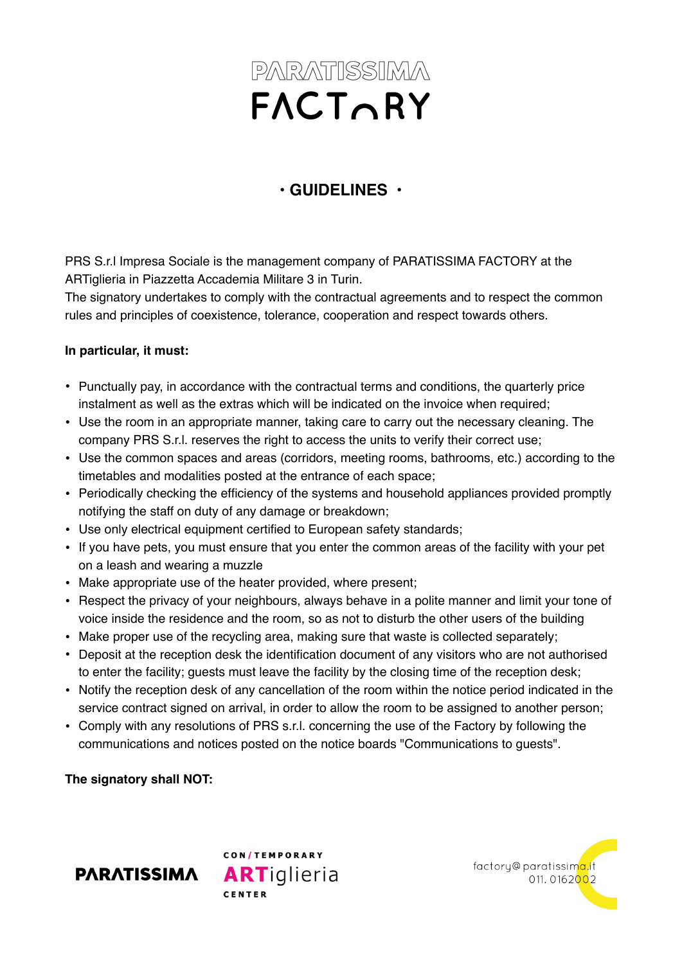## PARATISSIMA FACTORY

## **• GUIDELINES •**

PRS S.r.l Impresa Sociale is the management company of PARATISSIMA FACTORY at the ARTiglieria in Piazzetta Accademia Militare 3 in Turin.

The signatory undertakes to comply with the contractual agreements and to respect the common rules and principles of coexistence, tolerance, cooperation and respect towards others.

## **In particular, it must:**

- Punctually pay, in accordance with the contractual terms and conditions, the quarterly price instalment as well as the extras which will be indicated on the invoice when required;
- Use the room in an appropriate manner, taking care to carry out the necessary cleaning. The company PRS S.r.l. reserves the right to access the units to verify their correct use;
- Use the common spaces and areas (corridors, meeting rooms, bathrooms, etc.) according to the timetables and modalities posted at the entrance of each space;
- Periodically checking the efficiency of the systems and household appliances provided promptly notifying the staff on duty of any damage or breakdown;
- Use only electrical equipment certified to European safety standards;
- If you have pets, you must ensure that you enter the common areas of the facility with your pet on a leash and wearing a muzzle
- Make appropriate use of the heater provided, where present;
- Respect the privacy of your neighbours, always behave in a polite manner and limit your tone of voice inside the residence and the room, so as not to disturb the other users of the building
- Make proper use of the recycling area, making sure that waste is collected separately;
- Deposit at the reception desk the identification document of any visitors who are not authorised to enter the facility; guests must leave the facility by the closing time of the reception desk;
- Notify the reception desk of any cancellation of the room within the notice period indicated in the service contract signed on arrival, in order to allow the room to be assigned to another person;
- Comply with any resolutions of PRS s.r.l. concerning the use of the Factory by following the communications and notices posted on the notice boards "Communications to guests".

**The signatory shall NOT:**